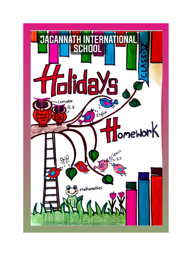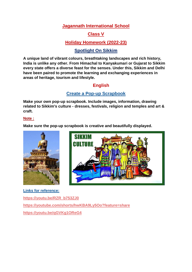### **Jagannath International School**

## **Class V**

# **Holiday Homework (2022-23)**

### **Spotlight On Sikkim**

**A unique land of vibrant colours, breathtaking landscapes and rich history, India is unlike any other. From Himachal to Kanyakumari or Gujarat to Sikkim every state offers a diverse feast for the senses. Under this, Sikkim and Delhi have been paired to promote the learning and exchanging experiences in areas of heritage, tourism and lifestyle.** 

### **English**

### **Create a Pop-up Scrapbook**

**Make your own pop-up scrapbook. Include images, information, drawing related to Sikkim's culture - dresses, festivals, religion and temples and art & craft.** 

#### **Note :**

**Make sure the pop-up scrapbook is creative and beautifully displayed.** 





**Links for reference: https://youtu.be/RZR\_b753ZJ0 <https://youtube.com/shorts/hwKBA9Ly5Oo?feature=share> <https://youtu.be/qGVKg1OReG4>**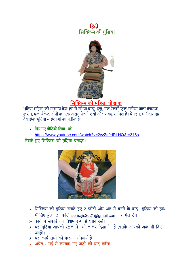ह है। इस प्रकाश के बाद के बाद कर से प्रकाश की प्रकाश कर से अपने कहा है। इस प्रकाश की प्रकाश की प्रकाश की प्रका  **हिक्किम की गुहिया**



# **हिक्किम की मह ला पोशाक**

भूटिया महिला की सामान्य वेशभूषा में खो या बाखू, हंजु, एक रेशमी फुल-स्लीव्स वाला ब्लाउज, कुशेन, एक जैकेट, टोपी का एक अलग पैटर्न, शंबो और शबचू शामिल हैं। पैंगडन, धारीदार एप्रन, वैवाटिक भूटिया मटिलाओं का प्रतीक िै।

 $\triangleright$  दिए गए वीडियो लिंक को

<https://www.youtube.com/watch?v=2vzZs9dRLHQ&t=316s> देखते हुए सिक्किम की गुडिया बनाइए।



- $>$  सिक्किम की गुड़िया बनाते हुए 2 फोटो और अंत में बनने के बाद गुड़िया को हाथ में लिए हुए 2 फोटो [somajis2021@gmail.com](mailto:somajis2021@gmail.com) पर भेज देंगे।
- ➢ कायन मेंसफ़ाई का टवशेष रूप सेध्यान रखे।
- $>$  यह गुड़िया आपको स्कूल में भी लाकर दिखानी है ,इसके आपको अंक भी दिए जाएँ गे।
- $>$  यह कार्य सभी को करना अनिवार्य हैं।
- $>$  अप्रैल मई में करवाए गए पाठों को याद करिए।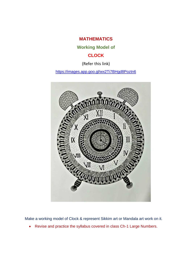**MATHEMATICS**

**Working Model of**

### **CLOCK**

(Refer this link)

<https://images.app.goo.gl/wx2Ti7BHgd8Poztn6>



Make a working model of Clock & represent Sikkim art or Mandala art work on it.

• Revise and practice the syllabus covered in class Ch-1 Large Numbers.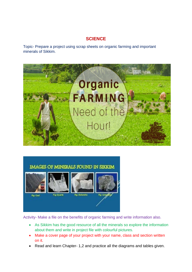## **SCIENCE**

Topic- Prepare a project using scrap sheets on organic farming and important minerals of Sikkim.



# IMAGES OF MINERALS FOUND IN SIKKIM









Fig. Coal



**Rg: Dolomite** 

Activity- Make a file on the benefits of organic farming and write information also.

- As Sikkim has the good resource of all the minerals so explore the information about them and write in project file with colourful pictures.
- Make a cover page of your project with your name, class and section written on it.
- Read and learn Chapter- 1,2 and practice all the diagrams and tables given.